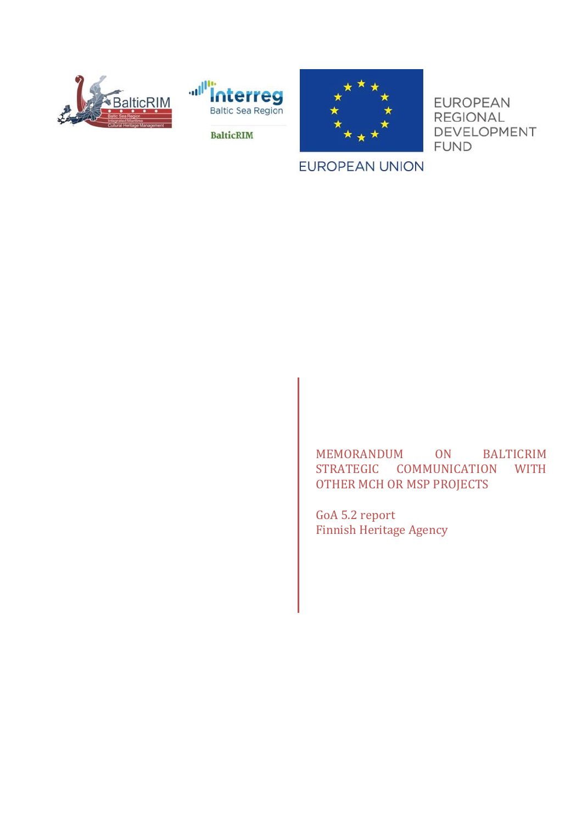





**EUROPEAN REGIONAL** DEVELOPMENT **FUND** 

**BalticRIM** 

## **EUROPEAN UNION**

MEMORANDUM ON BALTICRIM STRATEGIC COMMUNICATION WITH OTHER MCH OR MSP PROJECTS

GoA 5.2 report Finnish Heritage Agency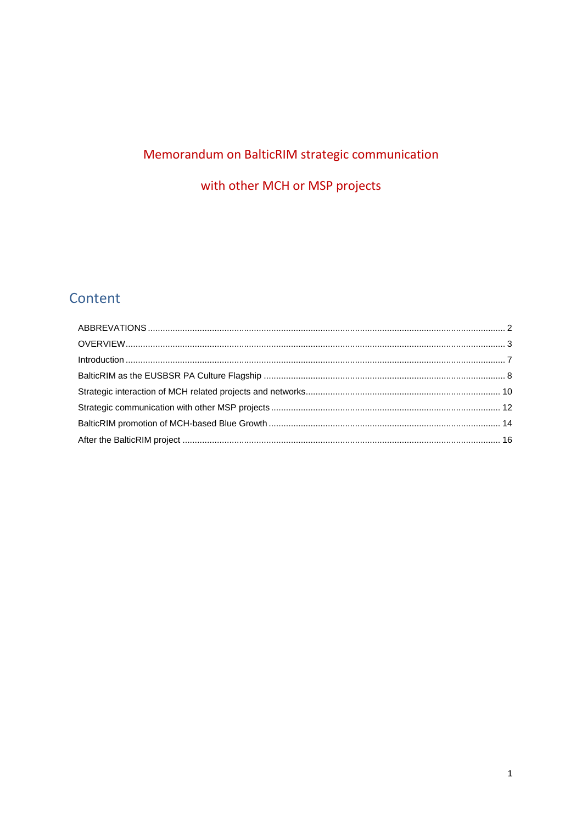# Memorandum on BalticRIM strategic communication

with other MCH or MSP projects

# Content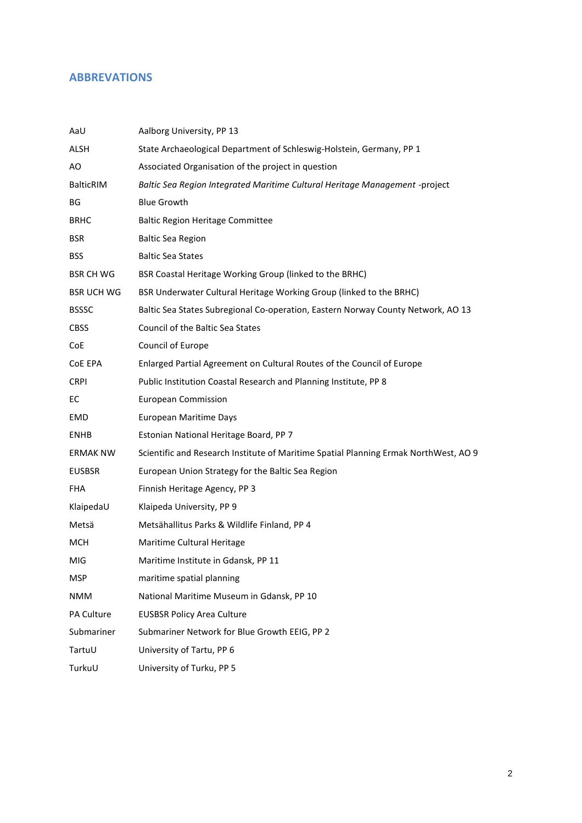## <span id="page-2-0"></span>**ABBREVATIONS**

| AaU               | Aalborg University, PP 13                                                            |
|-------------------|--------------------------------------------------------------------------------------|
| ALSH              | State Archaeological Department of Schleswig-Holstein, Germany, PP 1                 |
| AO                | Associated Organisation of the project in question                                   |
| <b>BalticRIM</b>  | Baltic Sea Region Integrated Maritime Cultural Heritage Management -project          |
| BG                | <b>Blue Growth</b>                                                                   |
| BRHC              | <b>Baltic Region Heritage Committee</b>                                              |
| <b>BSR</b>        | <b>Baltic Sea Region</b>                                                             |
| <b>BSS</b>        | <b>Baltic Sea States</b>                                                             |
| <b>BSR CH WG</b>  | BSR Coastal Heritage Working Group (linked to the BRHC)                              |
| <b>BSR UCH WG</b> | BSR Underwater Cultural Heritage Working Group (linked to the BRHC)                  |
| <b>BSSSC</b>      | Baltic Sea States Subregional Co-operation, Eastern Norway County Network, AO 13     |
| <b>CBSS</b>       | <b>Council of the Baltic Sea States</b>                                              |
| CoE               | Council of Europe                                                                    |
| CoE EPA           | Enlarged Partial Agreement on Cultural Routes of the Council of Europe               |
| <b>CRPI</b>       | Public Institution Coastal Research and Planning Institute, PP 8                     |
| EC                | <b>European Commission</b>                                                           |
| EMD               | <b>European Maritime Days</b>                                                        |
| <b>ENHB</b>       | Estonian National Heritage Board, PP 7                                               |
| ERMAK NW          | Scientific and Research Institute of Maritime Spatial Planning Ermak NorthWest, AO 9 |
| <b>EUSBSR</b>     | European Union Strategy for the Baltic Sea Region                                    |
| FHA               | Finnish Heritage Agency, PP 3                                                        |
| KlaipedaU         | Klaipeda University, PP 9                                                            |
| Metsä             | Metsähallitus Parks & Wildlife Finland, PP 4                                         |
| MCH               | Maritime Cultural Heritage                                                           |
| MIG               | Maritime Institute in Gdansk, PP 11                                                  |
| MSP               | maritime spatial planning                                                            |
| <b>NMM</b>        | National Maritime Museum in Gdansk, PP 10                                            |
| PA Culture        | <b>EUSBSR Policy Area Culture</b>                                                    |
| Submariner        | Submariner Network for Blue Growth EEIG, PP 2                                        |
| TartuU            | University of Tartu, PP 6                                                            |
| TurkuU            | University of Turku, PP 5                                                            |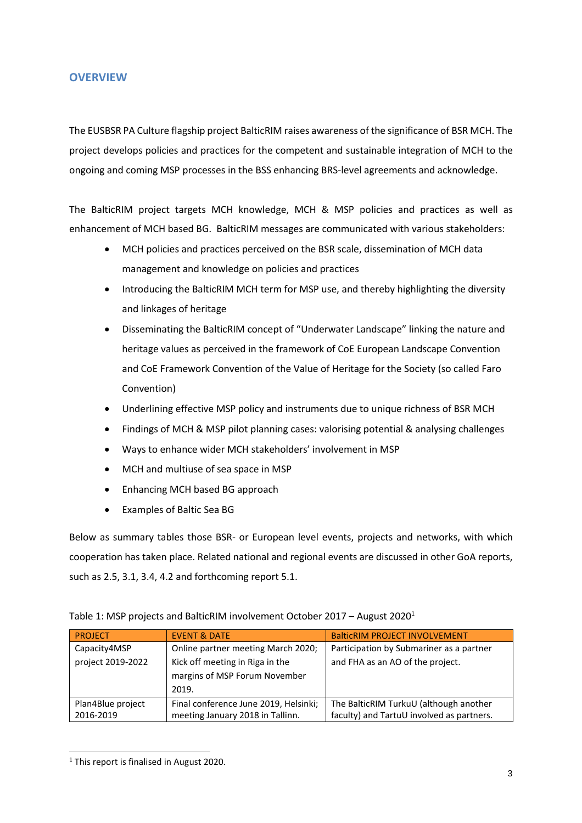#### <span id="page-3-0"></span>**OVERVIEW**

The EUSBSR PA Culture flagship project BalticRIM raises awareness of the significance of BSR MCH. The project develops policies and practices for the competent and sustainable integration of MCH to the ongoing and coming MSP processes in the BSS enhancing BRS-level agreements and acknowledge.

The BalticRIM project targets MCH knowledge, MCH & MSP policies and practices as well as enhancement of MCH based BG. BalticRIM messages are communicated with various stakeholders:

- MCH policies and practices perceived on the BSR scale, dissemination of MCH data management and knowledge on policies and practices
- Introducing the BalticRIM MCH term for MSP use, and thereby highlighting the diversity and linkages of heritage
- Disseminating the BalticRIM concept of "Underwater Landscape" linking the nature and heritage values as perceived in the framework of CoE European Landscape Convention and CoE Framework Convention of the Value of Heritage for the Society (so called Faro Convention)
- Underlining effective MSP policy and instruments due to unique richness of BSR MCH
- Findings of MCH & MSP pilot planning cases: valorising potential & analysing challenges
- Ways to enhance wider MCH stakeholders' involvement in MSP
- MCH and multiuse of sea space in MSP
- Enhancing MCH based BG approach
- Examples of Baltic Sea BG

Below as summary tables those BSR- or European level events, projects and networks, with which cooperation has taken place. Related national and regional events are discussed in other GoA reports, such as 2.5, 3.1, 3.4, 4.2 and forthcoming report 5.1.

|  | Table 1: MSP projects and BalticRIM involvement October 2017 - August 2020 <sup>1</sup> |  |  |
|--|-----------------------------------------------------------------------------------------|--|--|
|--|-----------------------------------------------------------------------------------------|--|--|

| <b>PROJECT</b>    | <b>EVENT &amp; DATE</b>               | <b>BalticRIM PROJECT INVOLVEMENT</b>      |
|-------------------|---------------------------------------|-------------------------------------------|
| Capacity4MSP      | Online partner meeting March 2020;    | Participation by Submariner as a partner  |
| project 2019-2022 | Kick off meeting in Riga in the       | and FHA as an AO of the project.          |
|                   | margins of MSP Forum November         |                                           |
|                   | 2019.                                 |                                           |
| Plan4Blue project | Final conference June 2019, Helsinki; | The BalticRIM TurkuU (although another    |
| 2016-2019         | meeting January 2018 in Tallinn.      | faculty) and TartuU involved as partners. |

<sup>1</sup> This report is finalised in August 2020.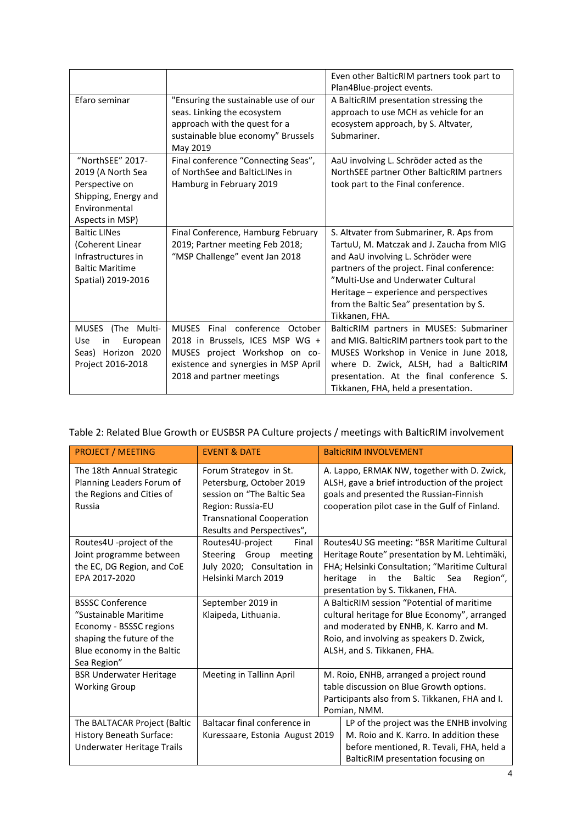|                                                                                                                     |                                                                                                                                                                         | Even other BalticRIM partners took part to<br>Plan4Blue-project events.                                                                                                                                                                                                                                                |
|---------------------------------------------------------------------------------------------------------------------|-------------------------------------------------------------------------------------------------------------------------------------------------------------------------|------------------------------------------------------------------------------------------------------------------------------------------------------------------------------------------------------------------------------------------------------------------------------------------------------------------------|
| Efaro seminar                                                                                                       | "Ensuring the sustainable use of our<br>seas. Linking the ecosystem<br>approach with the quest for a<br>sustainable blue economy" Brussels<br>May 2019                  | A BalticRIM presentation stressing the<br>approach to use MCH as vehicle for an<br>ecosystem approach, by S. Altvater,<br>Submariner.                                                                                                                                                                                  |
| "NorthSEE" 2017-<br>2019 (A North Sea<br>Perspective on<br>Shipping, Energy and<br>Environmental<br>Aspects in MSP) | Final conference "Connecting Seas",<br>of NorthSee and BalticLINes in<br>Hamburg in February 2019                                                                       | AaU involving L. Schröder acted as the<br>NorthSEE partner Other BalticRIM partners<br>took part to the Final conference.                                                                                                                                                                                              |
| <b>Baltic LINes</b><br>(Coherent Linear<br>Infrastructures in<br><b>Baltic Maritime</b><br>Spatial) 2019-2016       | Final Conference, Hamburg February<br>2019; Partner meeting Feb 2018;<br>"MSP Challenge" event Jan 2018                                                                 | S. Altvater from Submariner, R. Aps from<br>TartuU, M. Matczak and J. Zaucha from MIG<br>and AaU involving L. Schröder were<br>partners of the project. Final conference:<br>"Multi-Use and Underwater Cultural<br>Heritage - experience and perspectives<br>from the Baltic Sea" presentation by S.<br>Tikkanen, FHA. |
| MUSES<br>(The Multi-<br>Use<br>European<br>in<br>Seas) Horizon 2020<br>Project 2016-2018                            | MUSES Final conference October<br>2018 in Brussels, ICES MSP WG +<br>MUSES project Workshop on co-<br>existence and synergies in MSP April<br>2018 and partner meetings | BalticRIM partners in MUSES: Submariner<br>and MIG. BalticRIM partners took part to the<br>MUSES Workshop in Venice in June 2018,<br>where D. Zwick, ALSH, had a BalticRIM<br>presentation. At the final conference S.<br>Tikkanen, FHA, held a presentation.                                                          |

## Table 2: Related Blue Growth or EUSBSR PA Culture projects / meetings with BalticRIM involvement

| <b>PROJECT / MEETING</b>                                                                                                                              | <b>EVENT &amp; DATE</b>                                                                                                                                                 | <b>BalticRIM INVOLVEMENT</b>                                                                                                                                                                                                              |
|-------------------------------------------------------------------------------------------------------------------------------------------------------|-------------------------------------------------------------------------------------------------------------------------------------------------------------------------|-------------------------------------------------------------------------------------------------------------------------------------------------------------------------------------------------------------------------------------------|
| The 18th Annual Strategic<br>Planning Leaders Forum of<br>the Regions and Cities of<br><b>Russia</b>                                                  | Forum Strategov in St.<br>Petersburg, October 2019<br>session on "The Baltic Sea<br>Region: Russia-EU<br><b>Transnational Cooperation</b><br>Results and Perspectives", | A. Lappo, ERMAK NW, together with D. Zwick,<br>ALSH, gave a brief introduction of the project<br>goals and presented the Russian-Finnish<br>cooperation pilot case in the Gulf of Finland.                                                |
| Routes4U -project of the<br>Joint programme between<br>the EC, DG Region, and CoE<br>EPA 2017-2020                                                    | Routes4U-project<br>Final<br>Steering Group<br>meeting<br>July 2020; Consultation in<br>Helsinki March 2019                                                             | Routes4U SG meeting: "BSR Maritime Cultural<br>Heritage Route" presentation by M. Lehtimäki,<br>FHA; Helsinki Consultation; "Maritime Cultural<br>heritage<br>the<br>Baltic<br>Sea<br>Region",<br>in<br>presentation by S. Tikkanen, FHA. |
| <b>BSSSC Conference</b><br>"Sustainable Maritime<br>Economy - BSSSC regions<br>shaping the future of the<br>Blue economy in the Baltic<br>Sea Region" | September 2019 in<br>Klaipeda, Lithuania.                                                                                                                               | A BalticRIM session "Potential of maritime<br>cultural heritage for Blue Economy", arranged<br>and moderated by ENHB, K. Karro and M.<br>Roio, and involving as speakers D. Zwick,<br>ALSH, and S. Tikkanen, FHA.                         |
| <b>BSR Underwater Heritage</b><br><b>Working Group</b>                                                                                                | Meeting in Tallinn April                                                                                                                                                | M. Roio, ENHB, arranged a project round<br>table discussion on Blue Growth options.<br>Participants also from S. Tikkanen, FHA and I.<br>Pomian, NMM.                                                                                     |
| The BALTACAR Project (Baltic<br>History Beneath Surface:<br>Underwater Heritage Trails                                                                | Baltacar final conference in<br>Kuressaare, Estonia August 2019                                                                                                         | LP of the project was the ENHB involving<br>M. Roio and K. Karro. In addition these<br>before mentioned, R. Tevali, FHA, held a<br>BalticRIM presentation focusing on                                                                     |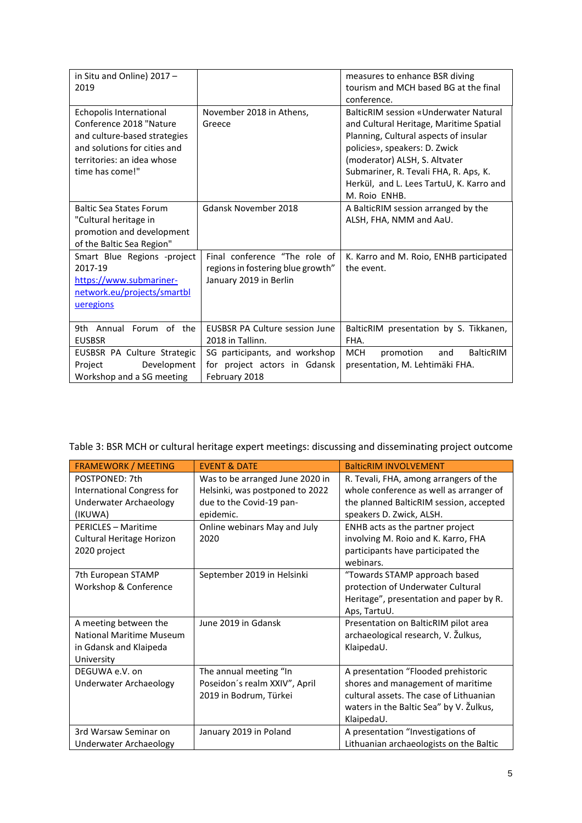| in Situ and Online) 2017 -<br>2019                                                                                                                                  |                                                                                              | measures to enhance BSR diving<br>tourism and MCH based BG at the final<br>conference.                                                                                                                                                                                                            |
|---------------------------------------------------------------------------------------------------------------------------------------------------------------------|----------------------------------------------------------------------------------------------|---------------------------------------------------------------------------------------------------------------------------------------------------------------------------------------------------------------------------------------------------------------------------------------------------|
| Echopolis International<br>Conference 2018 "Nature<br>and culture-based strategies<br>and solutions for cities and<br>territories: an idea whose<br>time has come!" | November 2018 in Athens,<br>Greece                                                           | BalticRIM session «Underwater Natural<br>and Cultural Heritage, Maritime Spatial<br>Planning, Cultural aspects of insular<br>policies», speakers: D. Zwick<br>(moderator) ALSH, S. Altvater<br>Submariner, R. Tevali FHA, R. Aps, K.<br>Herkül, and L. Lees TartuU, K. Karro and<br>M. Roio ENHB. |
| <b>Baltic Sea States Forum</b><br>"Cultural heritage in<br>promotion and development<br>of the Baltic Sea Region"                                                   | Gdansk November 2018                                                                         | A BalticRIM session arranged by the<br>ALSH, FHA, NMM and AaU.                                                                                                                                                                                                                                    |
| Smart Blue Regions -project<br>2017-19<br>https://www.submariner-<br>network.eu/projects/smartbl<br>ueregions                                                       | Final conference "The role of<br>regions in fostering blue growth"<br>January 2019 in Berlin | K. Karro and M. Roio, ENHB participated<br>the event.                                                                                                                                                                                                                                             |
| 9th Annual Forum of the<br><b>EUSBSR</b>                                                                                                                            | <b>EUSBSR PA Culture session June</b><br>2018 in Tallinn.                                    | BalticRIM presentation by S. Tikkanen,<br>FHA.                                                                                                                                                                                                                                                    |
| EUSBSR PA Culture Strategic<br>Development<br>Project<br>Workshop and a SG meeting                                                                                  | SG participants, and workshop<br>for project actors in Gdansk<br>February 2018               | <b>MCH</b><br><b>BalticRIM</b><br>promotion<br>and<br>presentation, M. Lehtimäki FHA.                                                                                                                                                                                                             |

Table 3: BSR MCH or cultural heritage expert meetings: discussing and disseminating project outcome

| <b>FRAMEWORK / MEETING</b>        | <b>EVENT &amp; DATE</b>         | <b>BalticRIM INVOLVEMENT</b>            |
|-----------------------------------|---------------------------------|-----------------------------------------|
| POSTPONED: 7th                    | Was to be arranged June 2020 in | R. Tevali, FHA, among arrangers of the  |
| <b>International Congress for</b> | Helsinki, was postponed to 2022 | whole conference as well as arranger of |
| <b>Underwater Archaeology</b>     | due to the Covid-19 pan-        | the planned BalticRIM session, accepted |
| (IKUWA)                           | epidemic.                       | speakers D. Zwick, ALSH.                |
| <b>PERICLES - Maritime</b>        | Online webinars May and July    | ENHB acts as the partner project        |
| Cultural Heritage Horizon         | 2020                            | involving M. Roio and K. Karro, FHA     |
| 2020 project                      |                                 | participants have participated the      |
|                                   |                                 | webinars.                               |
| 7th European STAMP                | September 2019 in Helsinki      | "Towards STAMP approach based           |
| Workshop & Conference             |                                 | protection of Underwater Cultural       |
|                                   |                                 | Heritage", presentation and paper by R. |
|                                   |                                 | Aps, TartuU.                            |
| A meeting between the             | June 2019 in Gdansk             | Presentation on BalticRIM pilot area    |
| National Maritime Museum          |                                 | archaeological research, V. Žulkus,     |
| in Gdansk and Klaipeda            |                                 | KlaipedaU.                              |
| University                        |                                 |                                         |
| DEGUWA e.V. on                    | The annual meeting "In          | A presentation "Flooded prehistoric     |
| Underwater Archaeology            | Poseidon's realm XXIV", April   | shores and management of maritime       |
|                                   | 2019 in Bodrum, Türkei          | cultural assets. The case of Lithuanian |
|                                   |                                 | waters in the Baltic Sea" by V. Žulkus, |
|                                   |                                 | KlaipedaU.                              |
| 3rd Warsaw Seminar on             | January 2019 in Poland          | A presentation "Investigations of       |
| Underwater Archaeology            |                                 | Lithuanian archaeologists on the Baltic |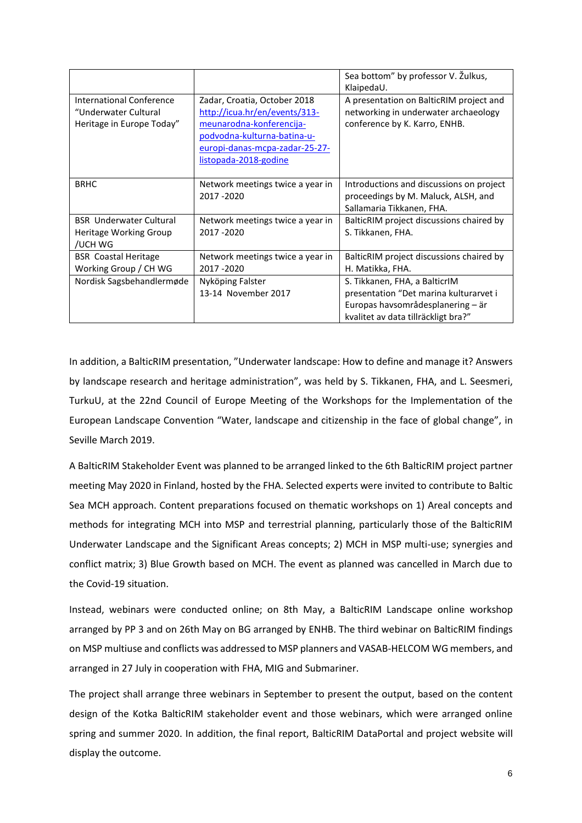|                                                                                      |                                                                                                                                                                                     | Sea bottom" by professor V. Žulkus,<br>KlaipedaU.                                                                                                   |
|--------------------------------------------------------------------------------------|-------------------------------------------------------------------------------------------------------------------------------------------------------------------------------------|-----------------------------------------------------------------------------------------------------------------------------------------------------|
| <b>International Conference</b><br>"Underwater Cultural<br>Heritage in Europe Today" | Zadar, Croatia, October 2018<br>http://icua.hr/en/events/313-<br>meunarodna-konferencija-<br>podvodna-kulturna-batina-u-<br>europi-danas-mcpa-zadar-25-27-<br>listopada-2018-godine | A presentation on BalticRIM project and<br>networking in underwater archaeology<br>conference by K. Karro, ENHB.                                    |
| <b>BRHC</b>                                                                          | Network meetings twice a year in<br>2017-2020                                                                                                                                       | Introductions and discussions on project<br>proceedings by M. Maluck, ALSH, and<br>Sallamaria Tikkanen, FHA.                                        |
| <b>BSR</b> Underwater Cultural<br>Heritage Working Group<br>/UCH WG                  | Network meetings twice a year in<br>2017-2020                                                                                                                                       | BalticRIM project discussions chaired by<br>S. Tikkanen, FHA.                                                                                       |
| <b>BSR</b> Coastal Heritage<br>Working Group / CH WG                                 | Network meetings twice a year in<br>2017 - 2020                                                                                                                                     | BalticRIM project discussions chaired by<br>H. Matikka, FHA.                                                                                        |
| Nordisk Sagsbehandlermøde                                                            | Nyköping Falster<br>13-14 November 2017                                                                                                                                             | S. Tikkanen, FHA, a BalticrIM<br>presentation "Det marina kulturarvet i<br>Europas havsområdesplanering – är<br>kvalitet av data tillräckligt bra?" |

In addition, a BalticRIM presentation, "Underwater landscape: How to define and manage it? Answers by landscape research and heritage administration", was held by S. Tikkanen, FHA, and L. Seesmeri, TurkuU, at the 22nd Council of Europe Meeting of the Workshops for the Implementation of the European Landscape Convention "Water, landscape and citizenship in the face of global change", in Seville March 2019.

A BalticRIM Stakeholder Event was planned to be arranged linked to the 6th BalticRIM project partner meeting May 2020 in Finland, hosted by the FHA. Selected experts were invited to contribute to Baltic Sea MCH approach. Content preparations focused on thematic workshops on 1) Areal concepts and methods for integrating MCH into MSP and terrestrial planning, particularly those of the BalticRIM Underwater Landscape and the Significant Areas concepts; 2) MCH in MSP multi-use; synergies and conflict matrix; 3) Blue Growth based on MCH. The event as planned was cancelled in March due to the Covid-19 situation.

Instead, webinars were conducted online; on 8th May, a BalticRIM Landscape online workshop arranged by PP 3 and on 26th May on BG arranged by ENHB. The third webinar on BalticRIM findings on MSP multiuse and conflicts was addressed to MSP planners and VASAB-HELCOM WG members, and arranged in 27 July in cooperation with FHA, MIG and Submariner.

The project shall arrange three webinars in September to present the output, based on the content design of the Kotka BalticRIM stakeholder event and those webinars, which were arranged online spring and summer 2020. In addition, the final report, BalticRIM DataPortal and project website will display the outcome.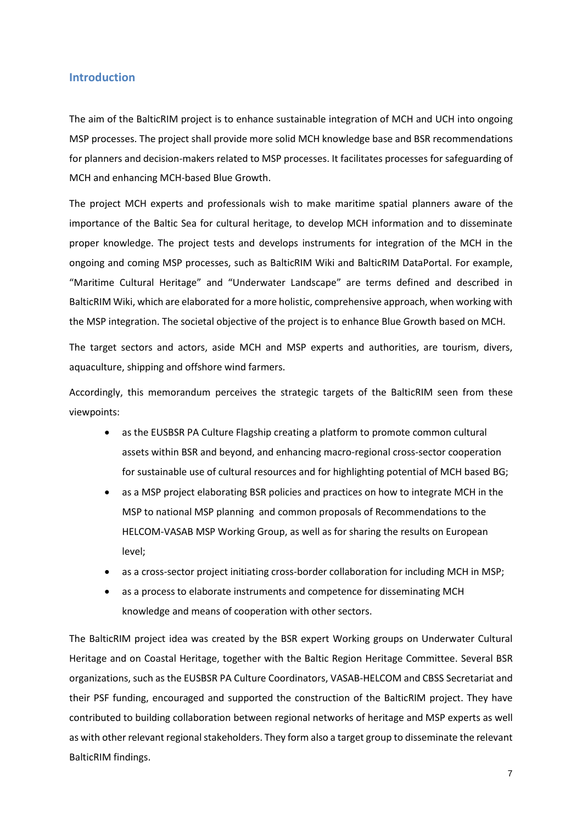#### <span id="page-7-0"></span>**Introduction**

The aim of the BalticRIM project is to enhance sustainable integration of MCH and UCH into ongoing MSP processes. The project shall provide more solid MCH knowledge base and BSR recommendations for planners and decision-makers related to MSP processes. It facilitates processes for safeguarding of MCH and enhancing MCH-based Blue Growth.

The project MCH experts and professionals wish to make maritime spatial planners aware of the importance of the Baltic Sea for cultural heritage, to develop MCH information and to disseminate proper knowledge. The project tests and develops instruments for integration of the MCH in the ongoing and coming MSP processes, such as BalticRIM Wiki and BalticRIM DataPortal. For example, "Maritime Cultural Heritage" and "Underwater Landscape" are terms defined and described in BalticRIM Wiki, which are elaborated for a more holistic, comprehensive approach, when working with the MSP integration. The societal objective of the project is to enhance Blue Growth based on MCH.

The target sectors and actors, aside MCH and MSP experts and authorities, are tourism, divers, aquaculture, shipping and offshore wind farmers.

Accordingly, this memorandum perceives the strategic targets of the BalticRIM seen from these viewpoints:

- as the EUSBSR PA Culture Flagship creating a platform to promote common cultural assets within BSR and beyond, and enhancing macro-regional cross-sector cooperation for sustainable use of cultural resources and for highlighting potential of MCH based BG;
- as a MSP project elaborating BSR policies and practices on how to integrate MCH in the MSP to national MSP planning and common proposals of Recommendations to the HELCOM-VASAB MSP Working Group, as well as for sharing the results on European level;
- as a cross-sector project initiating cross-border collaboration for including MCH in MSP;
- as a process to elaborate instruments and competence for disseminating MCH knowledge and means of cooperation with other sectors.

The BalticRIM project idea was created by the BSR expert Working groups on Underwater Cultural Heritage and on Coastal Heritage, together with the Baltic Region Heritage Committee. Several BSR organizations, such as the EUSBSR PA Culture Coordinators, VASAB-HELCOM and CBSS Secretariat and their PSF funding, encouraged and supported the construction of the BalticRIM project. They have contributed to building collaboration between regional networks of heritage and MSP experts as well as with other relevant regional stakeholders. They form also a target group to disseminate the relevant BalticRIM findings.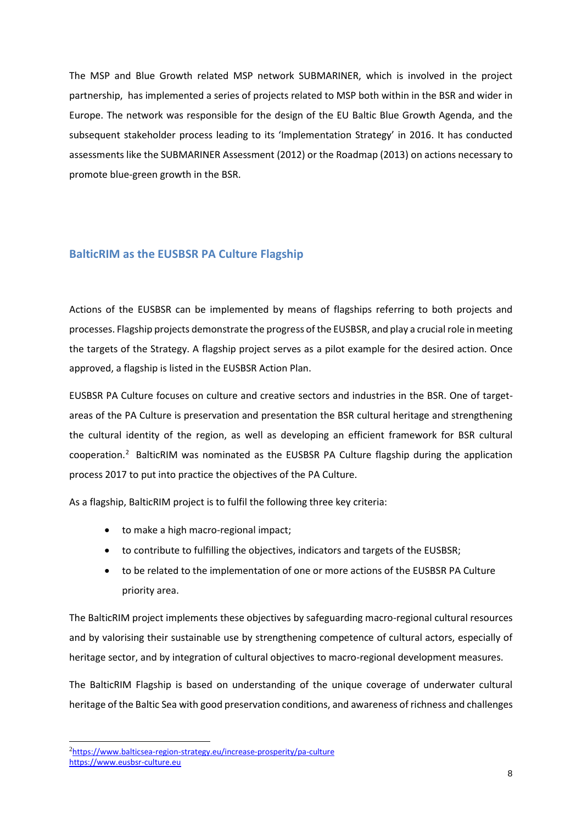The MSP and Blue Growth related MSP network SUBMARINER, which is involved in the project partnership, has implemented a series of projects related to MSP both within in the BSR and wider in Europe. The network was responsible for the design of the EU Baltic Blue Growth Agenda, and the subsequent stakeholder process leading to its 'Implementation Strategy' in 2016. It has conducted assessments like the SUBMARINER Assessment (2012) or the Roadmap (2013) on actions necessary to promote blue-green growth in the BSR.

### <span id="page-8-0"></span>**BalticRIM as the EUSBSR PA Culture Flagship**

Actions of the EUSBSR can be implemented by means of flagships referring to both projects and processes. Flagship projects demonstrate the progress of the EUSBSR, and play a crucial role in meeting the targets of the Strategy. A flagship project serves as a pilot example for the desired action. Once approved, a flagship is listed in the EUSBSR Action Plan.

EUSBSR PA Culture focuses on culture and creative sectors and industries in the BSR. One of targetareas of the PA Culture is preservation and presentation the BSR cultural heritage and strengthening the cultural identity of the region, as well as developing an efficient framework for BSR cultural cooperation.<sup>2</sup> BalticRIM was nominated as the EUSBSR PA Culture flagship during the application process 2017 to put into practice the objectives of the PA Culture.

As a flagship, BalticRIM project is to fulfil the following three key criteria:

- to make a high macro-regional impact;
- to contribute to fulfilling the objectives, indicators and targets of the EUSBSR;
- to be related to the implementation of one or more actions of the EUSBSR PA Culture priority area.

The BalticRIM project implements these objectives by safeguarding macro-regional cultural resources and by valorising their sustainable use by strengthening competence of cultural actors, especially of heritage sector, and by integration of cultural objectives to macro-regional development measures.

The BalticRIM Flagship is based on understanding of the unique coverage of underwater cultural heritage of the Baltic Sea with good preservation conditions, and awareness of richness and challenges

<sup>&</sup>lt;sup>2</sup><https://www.balticsea-region-strategy.eu/increase-prosperity/pa-culture> [https://www.eusbsr-culture.eu](https://www.eusbsr-culture.eu/)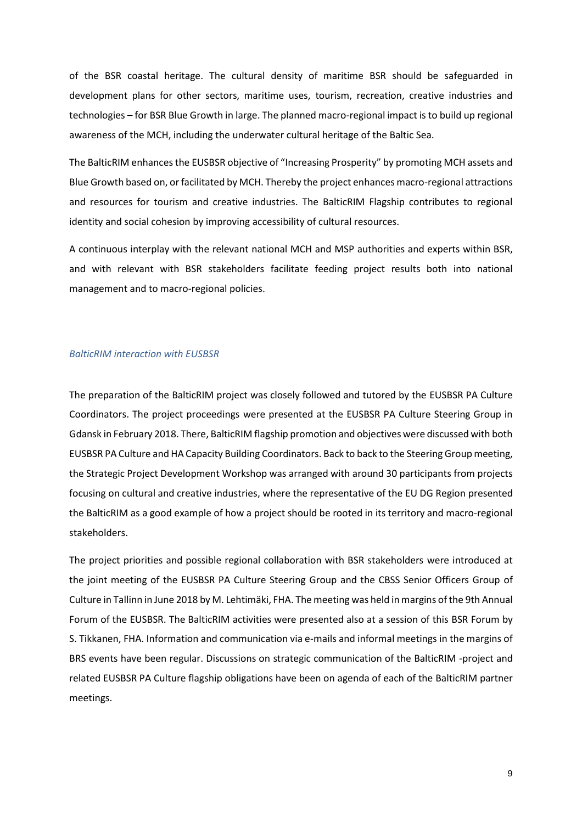of the BSR coastal heritage. The cultural density of maritime BSR should be safeguarded in development plans for other sectors, maritime uses, tourism, recreation, creative industries and technologies – for BSR Blue Growth in large. The planned macro-regional impact is to build up regional awareness of the MCH, including the underwater cultural heritage of the Baltic Sea.

The BalticRIM enhances the EUSBSR objective of "Increasing Prosperity" by promoting MCH assets and Blue Growth based on, or facilitated by MCH. Thereby the project enhances macro-regional attractions and resources for tourism and creative industries. The BalticRIM Flagship contributes to regional identity and social cohesion by improving accessibility of cultural resources.

A continuous interplay with the relevant national MCH and MSP authorities and experts within BSR, and with relevant with BSR stakeholders facilitate feeding project results both into national management and to macro-regional policies.

#### *BalticRIM interaction with EUSBSR*

The preparation of the BalticRIM project was closely followed and tutored by the EUSBSR PA Culture Coordinators. The project proceedings were presented at the EUSBSR PA Culture Steering Group in Gdansk in February 2018. There, BalticRIM flagship promotion and objectives were discussed with both EUSBSR PA Culture and HA Capacity Building Coordinators. Back to back to the Steering Group meeting, the Strategic Project Development Workshop was arranged with around 30 participants from projects focusing on cultural and creative industries, where the representative of the EU DG Region presented the BalticRIM as a good example of how a project should be rooted in its territory and macro-regional stakeholders.

The project priorities and possible regional collaboration with BSR stakeholders were introduced at the joint meeting of the EUSBSR PA Culture Steering Group and the CBSS Senior Officers Group of Culture in Tallinn in June 2018 by M. Lehtimäki, FHA. The meeting was held in margins of the 9th Annual Forum of the EUSBSR. The BalticRIM activities were presented also at a session of this BSR Forum by S. Tikkanen, FHA. Information and communication via e-mails and informal meetings in the margins of BRS events have been regular. Discussions on strategic communication of the BalticRIM -project and related EUSBSR PA Culture flagship obligations have been on agenda of each of the BalticRIM partner meetings.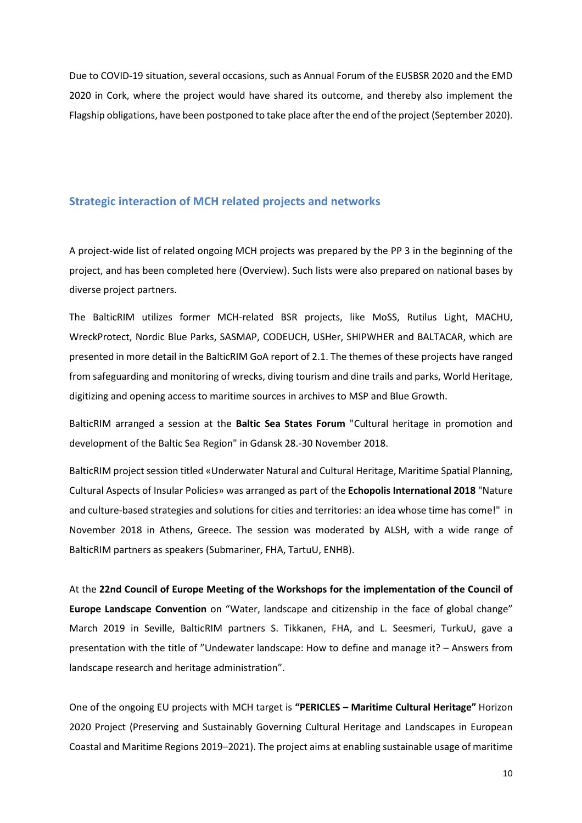Due to COVID-19 situation, several occasions, such as Annual Forum of the EUSBSR 2020 and the EMD 2020 in Cork, where the project would have shared its outcome, and thereby also implement the Flagship obligations, have been postponed to take place after the end of the project (September 2020).

#### <span id="page-10-0"></span>**Strategic interaction of MCH related projects and networks**

A project-wide list of related ongoing MCH projects was prepared by the PP 3 in the beginning of the project, and has been completed here (Overview). Such lists were also prepared on national bases by diverse project partners.

The BalticRIM utilizes former MCH-related BSR projects, like MoSS, Rutilus Light, MACHU, WreckProtect, Nordic Blue Parks, SASMAP, CODEUCH, USHer, SHIPWHER and BALTACAR, which are presented in more detail in the BalticRIM GoA report of 2.1. The themes of these projects have ranged from safeguarding and monitoring of wrecks, diving tourism and dine trails and parks, World Heritage, digitizing and opening access to maritime sources in archives to MSP and Blue Growth.

BalticRIM arranged a session at the **Baltic Sea States Forum** "Cultural heritage in promotion and development of the Baltic Sea Region" in Gdansk 28.-30 November 2018.

BalticRIM project session titled «Underwater Natural and Cultural Heritage, Maritime Spatial Planning, Cultural Aspects of Insular Policies» was arranged as part of the **Echopolis International 2018** "Nature and culture-based strategies and solutions for cities and territories: an idea whose time has come!" in November 2018 in Athens, Greece. The session was moderated by ALSH, with a wide range of BalticRIM partners as speakers (Submariner, FHA, TartuU, ENHB).

At the **22nd Council of Europe Meeting of the Workshops for the implementation of the Council of Europe Landscape Convention** on "Water, landscape and citizenship in the face of global change" March 2019 in Seville, BalticRIM partners S. Tikkanen, FHA, and L. Seesmeri, TurkuU, gave a presentation with the title of "Undewater landscape: How to define and manage it? – Answers from landscape research and heritage administration".

One of the ongoing EU projects with MCH target is **"PERICLES – Maritime Cultural Heritage"** Horizon 2020 Project (Preserving and Sustainably Governing Cultural Heritage and Landscapes in European Coastal and Maritime Regions 2019–2021). The project aims at enabling sustainable usage of maritime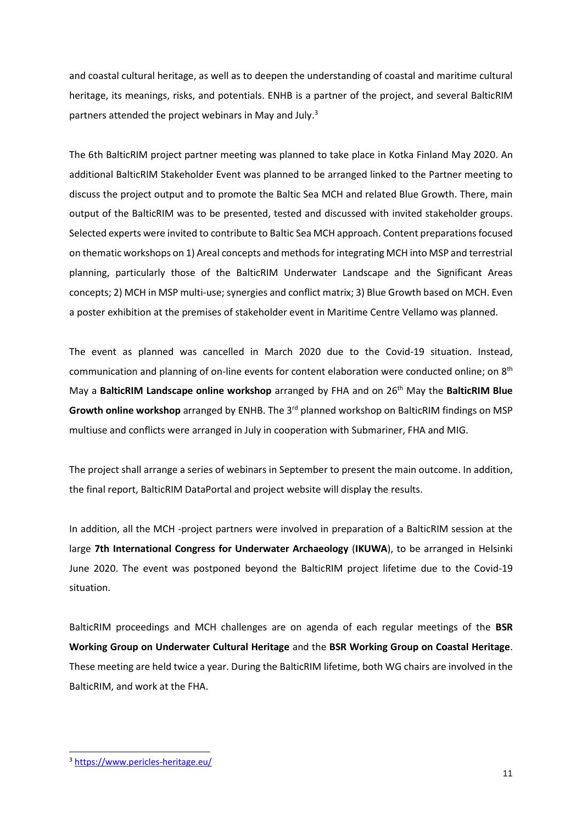and coastal cultural heritage, as well as to deepen the understanding of coastal and maritime cultural heritage, its meanings, risks, and potentials. ENHB is a partner of the project, and several BalticRIM partners attended the project webinars in May and July. 3

The 6th BalticRIM project partner meeting was planned to take place in Kotka Finland May 2020. An additional BalticRIM Stakeholder Event was planned to be arranged linked to the Partner meeting to discuss the project output and to promote the Baltic Sea MCH and related Blue Growth. There, main output of the BalticRIM was to be presented, tested and discussed with invited stakeholder groups. Selected experts were invited to contribute to Baltic Sea MCH approach. Content preparations focused on thematic workshops on 1) Areal concepts and methods for integrating MCH into MSP and terrestrial planning, particularly those of the BalticRIM Underwater Landscape and the Significant Areas concepts; 2) MCH in MSP multi-use; synergies and conflict matrix; 3) Blue Growth based on MCH. Even a poster exhibition at the premises of stakeholder event in Maritime Centre Vellamo was planned.

The event as planned was cancelled in March 2020 due to the Covid-19 situation. Instead, communication and planning of on-line events for content elaboration were conducted online; on 8<sup>th</sup> May a **BalticRIM Landscape online workshop** arranged by FHA and on 26th May the **BalticRIM Blue Growth online workshop** arranged by ENHB. The 3rd planned workshop on BalticRIM findings on MSP multiuse and conflicts were arranged in July in cooperation with Submariner, FHA and MIG.

The project shall arrange a series of webinars in September to present the main outcome. In addition, the final report, BalticRIM DataPortal and project website will display the results.

In addition, all the MCH -project partners were involved in preparation of a BalticRIM session at the large **7th International Congress for Underwater Archaeology** (**IKUWA**), to be arranged in Helsinki June 2020. The event was postponed beyond the BalticRIM project lifetime due to the Covid-19 situation.

BalticRIM proceedings and MCH challenges are on agenda of each regular meetings of the **BSR Working Group on Underwater Cultural Heritage** and the **BSR Working Group on Coastal Heritage**. These meeting are held twice a year. During the BalticRIM lifetime, both WG chairs are involved in the BalticRIM, and work at the FHA.

<sup>3</sup> <https://www.pericles-heritage.eu/>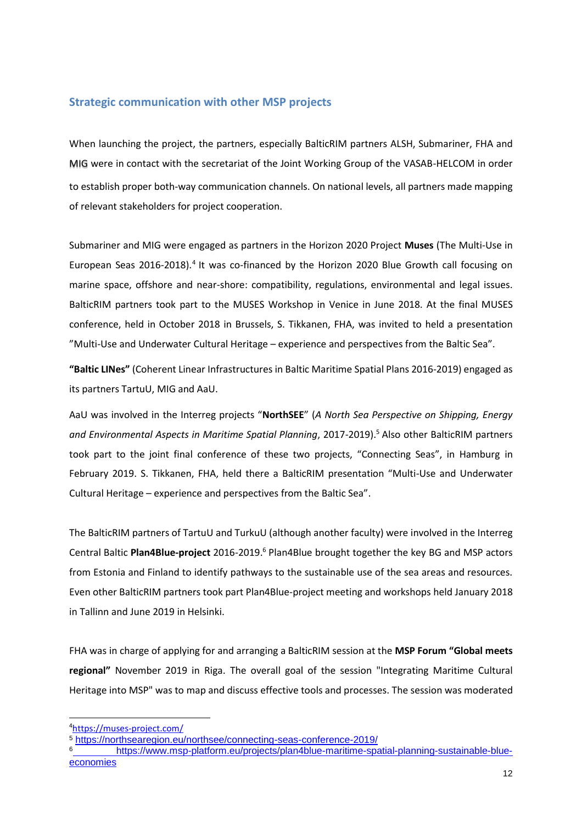### <span id="page-12-0"></span>**Strategic communication with other MSP projects**

When launching the project, the partners, especially BalticRIM partners ALSH, Submariner, FHA and MIG were in contact with the secretariat of the Joint Working Group of the VASAB-HELCOM in order to establish proper both-way communication channels. On national levels, all partners made mapping of relevant stakeholders for project cooperation.

Submariner and MIG were engaged as partners in the Horizon 2020 Project **Muses** (The Multi-Use in European Seas 2016-2018).<sup>4</sup> It was co-financed by the Horizon 2020 Blue Growth call focusing on marine space, offshore and near-shore: compatibility, regulations, environmental and legal issues. BalticRIM partners took part to the MUSES Workshop in Venice in June 2018. At the final MUSES conference, held in October 2018 in Brussels, S. Tikkanen, FHA, was invited to held a presentation "Multi-Use and Underwater Cultural Heritage – experience and perspectives from the Baltic Sea".

**"Baltic LINes"** (Coherent Linear Infrastructures in Baltic Maritime Spatial Plans 2016-2019) engaged as its partners TartuU, MIG and AaU.

AaU was involved in the Interreg projects "**NorthSEE**" (*A North Sea Perspective on Shipping, Energy and Environmental Aspects in Maritime Spatial Planning*, 2017-2019). <sup>5</sup> Also other BalticRIM partners took part to the joint final conference of these two projects, "Connecting Seas", in Hamburg in February 2019. S. Tikkanen, FHA, held there a BalticRIM presentation "Multi-Use and Underwater Cultural Heritage – experience and perspectives from the Baltic Sea".

The BalticRIM partners of TartuU and TurkuU (although another faculty) were involved in the Interreg Central Baltic **Plan4Blue-project** 2016-2019.<sup>6</sup> Plan4Blue brought together the key BG and MSP actors from Estonia and Finland to identify pathways to the sustainable use of the sea areas and resources. Even other BalticRIM partners took part Plan4Blue-project meeting and workshops held January 2018 in Tallinn and June 2019 in Helsinki.

FHA was in charge of applying for and arranging a BalticRIM session at the **MSP Forum "Global meets regional"** November 2019 in Riga. The overall goal of the session "Integrating Maritime Cultural Heritage into MSP" was to map and discuss effective tools and processes. The session was moderated

<sup>4</sup><https://muses-project.com/>

<sup>5</sup> <https://northsearegion.eu/northsee/connecting-seas-conference-2019/>

<sup>6</sup> [https://www.msp-platform.eu/projects/plan4blue-maritime-spatial-planning-sustainable-blue](https://www.msp-platform.eu/projects/plan4blue-maritime-spatial-planning-sustainable-blue-economies)[economies](https://www.msp-platform.eu/projects/plan4blue-maritime-spatial-planning-sustainable-blue-economies)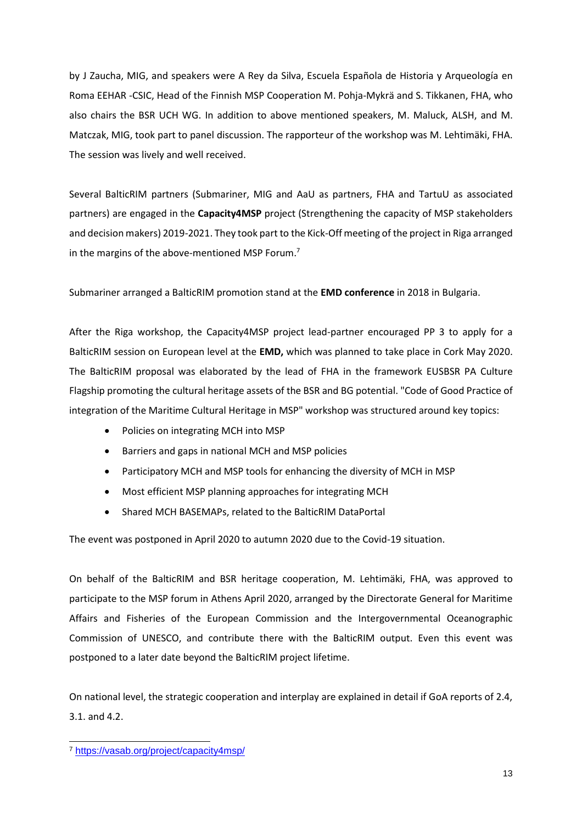by J Zaucha, MIG, and speakers were A Rey da Silva, Escuela Española de Historia y Arqueología en Roma EEHAR -CSIC, Head of the Finnish MSP Cooperation M. Pohja-Mykrä and S. Tikkanen, FHA, who also chairs the BSR UCH WG. In addition to above mentioned speakers, M. Maluck, ALSH, and M. Matczak, MIG, took part to panel discussion. The rapporteur of the workshop was M. Lehtimäki, FHA. The session was lively and well received.

Several BalticRIM partners (Submariner, MIG and AaU as partners, FHA and TartuU as associated partners) are engaged in the **Capacity4MSP** project (Strengthening the capacity of MSP stakeholders and decision makers) 2019-2021. They took part to the Kick-Off meeting of the project in Riga arranged in the margins of the above-mentioned MSP Forum.<sup>7</sup>

Submariner arranged a BalticRIM promotion stand at the **EMD conference** in 2018 in Bulgaria.

After the Riga workshop, the Capacity4MSP project lead-partner encouraged PP 3 to apply for a BalticRIM session on European level at the **EMD,** which was planned to take place in Cork May 2020. The BalticRIM proposal was elaborated by the lead of FHA in the framework EUSBSR PA Culture Flagship promoting the cultural heritage assets of the BSR and BG potential. "Code of Good Practice of integration of the Maritime Cultural Heritage in MSP" workshop was structured around key topics:

- Policies on integrating MCH into MSP
- Barriers and gaps in national MCH and MSP policies
- Participatory MCH and MSP tools for enhancing the diversity of MCH in MSP
- Most efficient MSP planning approaches for integrating MCH
- Shared MCH BASEMAPs, related to the BalticRIM DataPortal

The event was postponed in April 2020 to autumn 2020 due to the Covid-19 situation.

On behalf of the BalticRIM and BSR heritage cooperation, M. Lehtimäki, FHA, was approved to participate to the MSP forum in Athens April 2020, arranged by the Directorate General for Maritime Affairs and Fisheries of the European Commission and the Intergovernmental Oceanographic Commission of UNESCO, and contribute there with the BalticRIM output. Even this event was postponed to a later date beyond the BalticRIM project lifetime.

On national level, the strategic cooperation and interplay are explained in detail if GoA reports of 2.4, 3.1. and 4.2.

l <sup>7</sup> <https://vasab.org/project/capacity4msp/>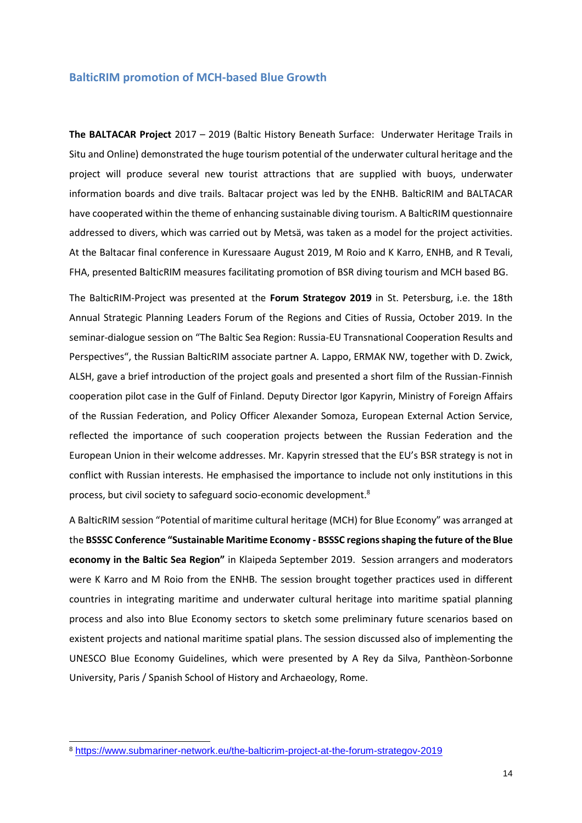#### <span id="page-14-0"></span>**BalticRIM promotion of MCH-based Blue Growth**

**The BALTACAR Project** 2017 – 2019 (Baltic History Beneath Surface: Underwater Heritage Trails in Situ and Online) demonstrated the huge tourism potential of the underwater cultural heritage and the project will produce several new tourist attractions that are supplied with buoys, underwater information boards and dive trails. Baltacar project was led by the ENHB. BalticRIM and BALTACAR have cooperated within the theme of enhancing sustainable diving tourism. A BalticRIM questionnaire addressed to divers, which was carried out by Metsä, was taken as a model for the project activities. At the Baltacar final conference in Kuressaare August 2019, M Roio and K Karro, ENHB, and R Tevali, FHA, presented BalticRIM measures facilitating promotion of BSR diving tourism and MCH based BG.

The BalticRIM-Project was presented at the **Forum Strategov 2019** in St. Petersburg, i.e. the 18th Annual Strategic Planning Leaders Forum of the Regions and Cities of Russia, October 2019. In the seminar-dialogue session on "The Baltic Sea Region: Russia-EU Transnational Cooperation Results and Perspectives", the Russian BalticRIM associate partner A. Lappo, ERMAK NW, together with D. Zwick, ALSH, gave a brief introduction of the project goals and presented a short film of the Russian-Finnish cooperation pilot case in the Gulf of Finland. Deputy Director Igor Kapyrin, Ministry of Foreign Affairs of the Russian Federation, and Policy Officer Alexander Somoza, European External Action Service, reflected the importance of such cooperation projects between the Russian Federation and the European Union in their welcome addresses. Mr. Kapyrin stressed that the EU's BSR strategy is not in conflict with Russian interests. He emphasised the importance to include not only institutions in this process, but civil society to safeguard socio-economic development.<sup>8</sup>

A BalticRIM session "Potential of maritime cultural heritage (MCH) for Blue Economy" was arranged at the **BSSSC Conference "Sustainable Maritime Economy - BSSSC regions shaping the future of the Blue economy in the Baltic Sea Region"** in Klaipeda September 2019. Session arrangers and moderators were K Karro and M Roio from the ENHB. The session brought together practices used in different countries in integrating maritime and underwater cultural heritage into maritime spatial planning process and also into Blue Economy sectors to sketch some preliminary future scenarios based on existent projects and national maritime spatial plans. The session discussed also of implementing the UNESCO Blue Economy Guidelines, which were presented by A Rey da Silva, Panthèon-Sorbonne University, Paris / Spanish School of History and Archaeology, Rome.

<sup>8</sup> <https://www.submariner-network.eu/the-balticrim-project-at-the-forum-strategov-2019>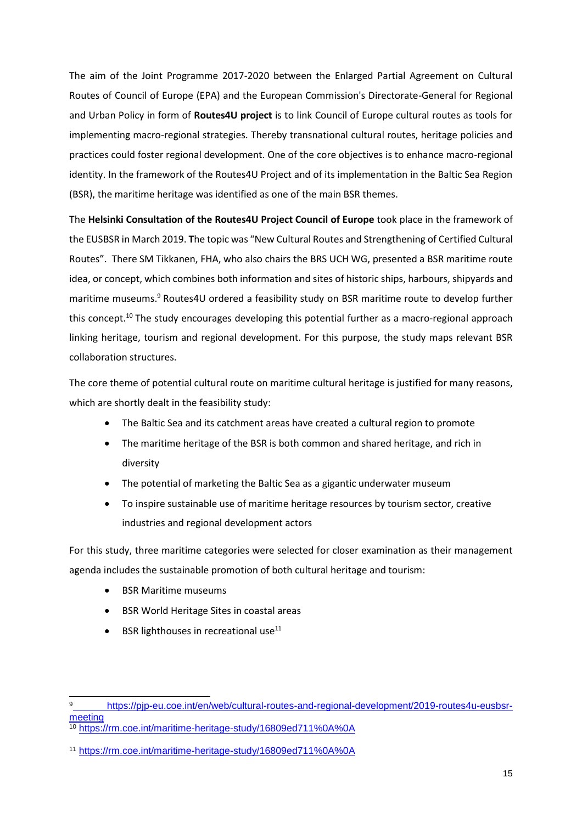The aim of the Joint Programme 2017-2020 between the Enlarged Partial Agreement on Cultural Routes of Council of Europe (EPA) and the European Commission's Directorate-General for Regional and Urban Policy in form of **Routes4U project** is to link Council of Europe cultural routes as tools for implementing macro-regional strategies. Thereby transnational cultural routes, heritage policies and practices could foster regional development. One of the core objectives is to enhance macro-regional identity. In the framework of the Routes4U Project and of its implementation in the Baltic Sea Region (BSR), the maritime heritage was identified as one of the main BSR themes.

The **Helsinki Consultation of the Routes4U Project Council of Europe** took place in the framework of the EUSBSR in March 2019. **T**he topic was "New Cultural Routes and Strengthening of Certified Cultural Routes". There SM Tikkanen, FHA, who also chairs the BRS UCH WG, presented a BSR maritime route idea, or concept, which combines both information and sites of historic ships, harbours, shipyards and maritime museums.<sup>9</sup> Routes4U ordered a feasibility study on BSR maritime route to develop further this concept.<sup>10</sup> The study encourages developing this potential further as a macro-regional approach linking heritage, tourism and regional development. For this purpose, the study maps relevant BSR collaboration structures.

The core theme of potential cultural route on maritime cultural heritage is justified for many reasons, which are shortly dealt in the feasibility study:

- The Baltic Sea and its catchment areas have created a cultural region to promote
- The maritime heritage of the BSR is both common and shared heritage, and rich in diversity
- The potential of marketing the Baltic Sea as a gigantic underwater museum
- To inspire sustainable use of maritime heritage resources by tourism sector, creative industries and regional development actors

For this study, three maritime categories were selected for closer examination as their management agenda includes the sustainable promotion of both cultural heritage and tourism:

BSR Maritime museums

- BSR World Heritage Sites in coastal areas
- $\bullet$  BSR lighthouses in recreational use<sup>11</sup>

[https://pjp-eu.coe.int/en/web/cultural-routes-and-regional-development/2019-routes4u-eusbsr](https://pjp-eu.coe.int/en/web/cultural-routes-and-regional-development/2019-routes4u-eusbsr-meeting)[meeting](https://pjp-eu.coe.int/en/web/cultural-routes-and-regional-development/2019-routes4u-eusbsr-meeting)

<sup>10</sup> <https://rm.coe.int/maritime-heritage-study/16809ed711%0A%0A>

<sup>11</sup> <https://rm.coe.int/maritime-heritage-study/16809ed711%0A%0A>